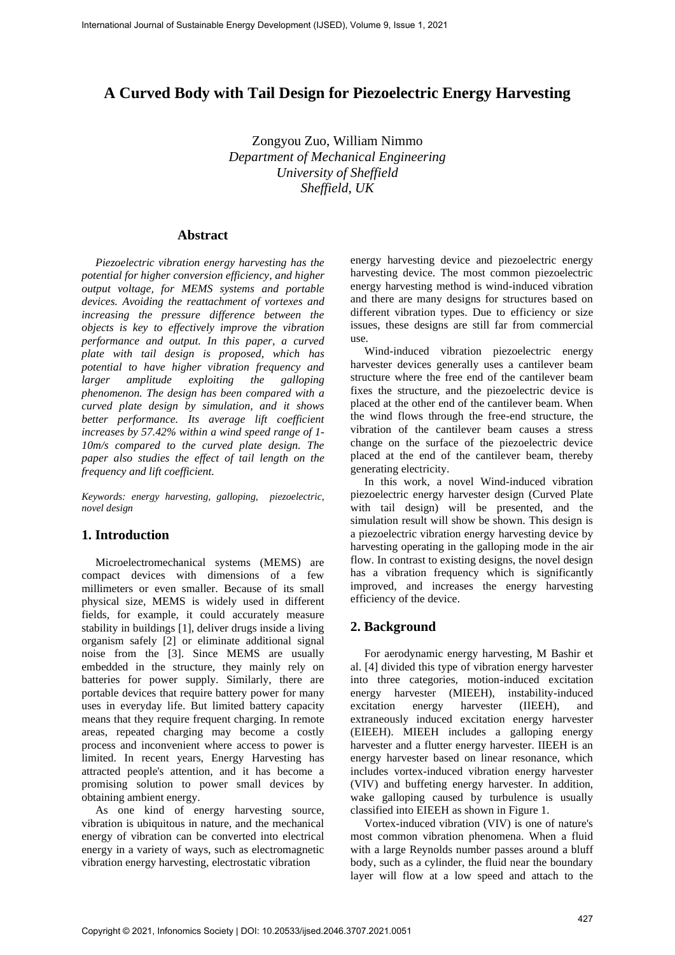# **A Curved Body with Tail Design for Piezoelectric Energy Harvesting**

Zongyou Zuo, William Nimmo *Department of Mechanical Engineering University of Sheffield Sheffield, UK* 

### **Abstract**

*Piezoelectric vibration energy harvesting has the potential for higher conversion efficiency, and higher output voltage, for MEMS systems and portable devices. Avoiding the reattachment of vortexes and increasing the pressure difference between the objects is key to effectively improve the vibration performance and output. In this paper, a curved plate with tail design is proposed, which has potential to have higher vibration frequency and larger amplitude exploiting the galloping phenomenon. The design has been compared with a curved plate design by simulation, and it shows better performance. Its average lift coefficient increases by 57.42% within a wind speed range of 1- 10m/s compared to the curved plate design. The paper also studies the effect of tail length on the frequency and lift coefficient.* 

*Keywords: energy harvesting, galloping, piezoelectric, novel design*

# **1. Introduction**

Microelectromechanical systems (MEMS) are compact devices with dimensions of a few millimeters or even smaller. Because of its small physical size, MEMS is widely used in different fields, for example, it could accurately measure stability in buildings [1], deliver drugs inside a living organism safely [2] or eliminate additional signal noise from the [3]. Since MEMS are usually embedded in the structure, they mainly rely on batteries for power supply. Similarly, there are portable devices that require battery power for many uses in everyday life. But limited battery capacity means that they require frequent charging. In remote areas, repeated charging may become a costly process and inconvenient where access to power is limited. In recent years, Energy Harvesting has attracted people's attention, and it has become a promising solution to power small devices by obtaining ambient energy.

As one kind of energy harvesting source, vibration is ubiquitous in nature, and the mechanical energy of vibration can be converted into electrical energy in a variety of ways, such as electromagnetic vibration energy harvesting, electrostatic vibration

energy harvesting device and piezoelectric energy harvesting device. The most common piezoelectric energy harvesting method is wind-induced vibration and there are many designs for structures based on different vibration types. Due to efficiency or size issues, these designs are still far from commercial use.

Wind-induced vibration piezoelectric energy harvester devices generally uses a cantilever beam structure where the free end of the cantilever beam fixes the structure, and the piezoelectric device is placed at the other end of the cantilever beam. When the wind flows through the free-end structure, the vibration of the cantilever beam causes a stress change on the surface of the piezoelectric device placed at the end of the cantilever beam, thereby generating electricity.

In this work, a novel Wind-induced vibration piezoelectric energy harvester design (Curved Plate with tail design) will be presented, and the simulation result will show be shown. This design is a piezoelectric vibration energy harvesting device by harvesting operating in the galloping mode in the air flow. In contrast to existing designs, the novel design has a vibration frequency which is significantly improved, and increases the energy harvesting efficiency of the device.

#### **2. Background**

For aerodynamic energy harvesting, M Bashir et al. [4] divided this type of vibration energy harvester into three categories, motion-induced excitation energy harvester (MIEEH), instability-induced excitation energy harvester (IIEEH), and extraneously induced excitation energy harvester (EIEEH). MIEEH includes a galloping energy harvester and a flutter energy harvester. IIEEH is an energy harvester based on linear resonance, which includes vortex-induced vibration energy harvester (VIV) and buffeting energy harvester. In addition, wake galloping caused by turbulence is usually classified into EIEEH as shown in Figure 1.

Vortex-induced vibration (VIV) is one of nature's most common vibration phenomena. When a fluid with a large Reynolds number passes around a bluff body, such as a cylinder, the fluid near the boundary layer will flow at a low speed and attach to the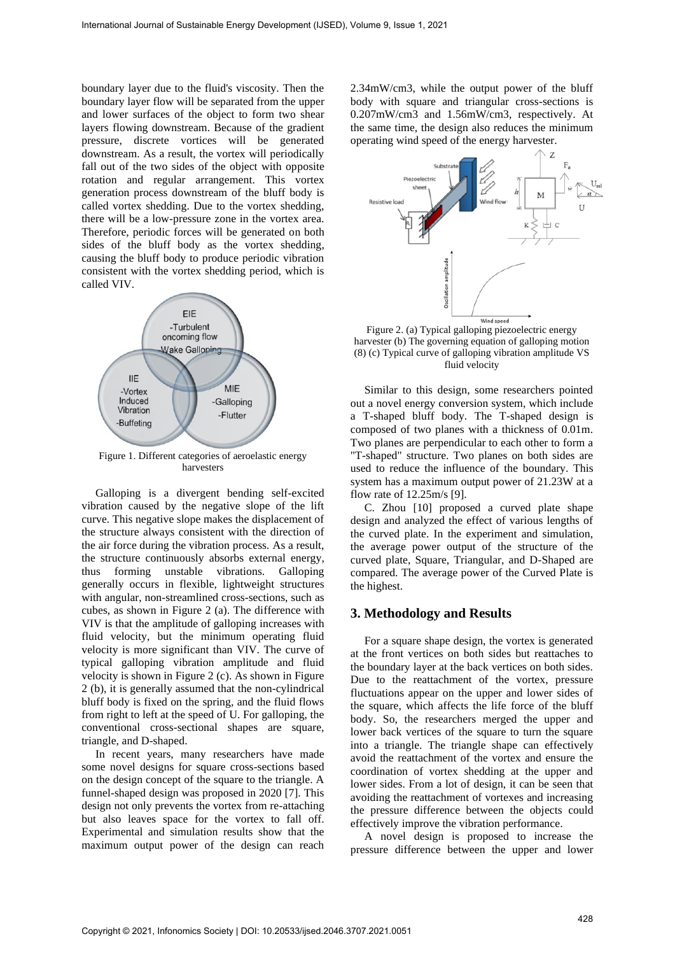boundary layer due to the fluid's viscosity. Then the boundary layer flow will be separated from the upper and lower surfaces of the object to form two shear layers flowing downstream. Because of the gradient pressure, discrete vortices will be generated downstream. As a result, the vortex will periodically fall out of the two sides of the object with opposite rotation and regular arrangement. This vortex generation process downstream of the bluff body is called vortex shedding. Due to the vortex shedding, there will be a low-pressure zone in the vortex area. Therefore, periodic forces will be generated on both sides of the bluff body as the vortex shedding, causing the bluff body to produce periodic vibration consistent with the vortex shedding period, which is called VIV.



Figure 1. Different categories of aeroelastic energy harvesters

Galloping is a divergent bending self-excited vibration caused by the negative slope of the lift curve. This negative slope makes the displacement of the structure always consistent with the direction of the air force during the vibration process. As a result, the structure continuously absorbs external energy, thus forming unstable vibrations. Galloping generally occurs in flexible, lightweight structures with angular, non-streamlined cross-sections, such as cubes, as shown in Figure 2 (a). The difference with VIV is that the amplitude of galloping increases with fluid velocity, but the minimum operating fluid velocity is more significant than VIV. The curve of typical galloping vibration amplitude and fluid velocity is shown in Figure 2 (c). As shown in Figure 2 (b), it is generally assumed that the non-cylindrical bluff body is fixed on the spring, and the fluid flows from right to left at the speed of U. For galloping, the conventional cross-sectional shapes are square, triangle, and D-shaped.

In recent years, many researchers have made some novel designs for square cross-sections based on the design concept of the square to the triangle. A funnel-shaped design was proposed in 2020 [7]. This design not only prevents the vortex from re-attaching but also leaves space for the vortex to fall off. Experimental and simulation results show that the maximum output power of the design can reach

2.34mW/cm3, while the output power of the bluff body with square and triangular cross-sections is 0.207mW/cm3 and 1.56mW/cm3, respectively. At the same time, the design also reduces the minimum operating wind speed of the energy harvester.



Figure 2. (a) Typical galloping piezoelectric energy harvester (b) The governing equation of galloping motion (8) (c) Typical curve of galloping vibration amplitude VS fluid velocity

Similar to this design, some researchers pointed out a novel energy conversion system, which include a T-shaped bluff body. The T-shaped design is composed of two planes with a thickness of 0.01m. Two planes are perpendicular to each other to form a "T-shaped" structure. Two planes on both sides are used to reduce the influence of the boundary. This system has a maximum output power of 21.23W at a flow rate of 12.25m/s [9].

C. Zhou [10] proposed a curved plate shape design and analyzed the effect of various lengths of the curved plate. In the experiment and simulation, the average power output of the structure of the curved plate, Square, Triangular, and D-Shaped are compared. The average power of the Curved Plate is the highest.

#### **3. Methodology and Results**

For a square shape design, the vortex is generated at the front vertices on both sides but reattaches to the boundary layer at the back vertices on both sides. Due to the reattachment of the vortex, pressure fluctuations appear on the upper and lower sides of the square, which affects the life force of the bluff body. So, the researchers merged the upper and lower back vertices of the square to turn the square into a triangle. The triangle shape can effectively avoid the reattachment of the vortex and ensure the coordination of vortex shedding at the upper and lower sides. From a lot of design, it can be seen that avoiding the reattachment of vortexes and increasing the pressure difference between the objects could effectively improve the vibration performance.

A novel design is proposed to increase the pressure difference between the upper and lower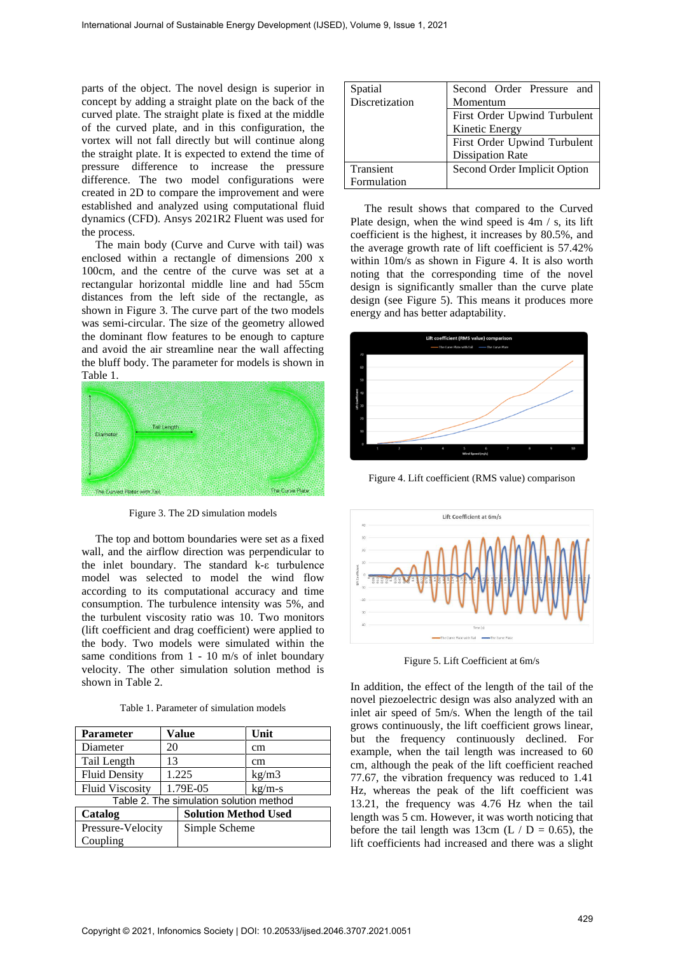parts of the object. The novel design is superior in concept by adding a straight plate on the back of the curved plate. The straight plate is fixed at the middle of the curved plate, and in this configuration, the vortex will not fall directly but will continue along the straight plate. It is expected to extend the time of pressure difference to increase the pressure difference. The two model configurations were created in 2D to compare the improvement and were established and analyzed using computational fluid dynamics (CFD). Ansys 2021R2 Fluent was used for the process.

The main body (Curve and Curve with tail) was enclosed within a rectangle of dimensions 200 x 100cm, and the centre of the curve was set at a rectangular horizontal middle line and had 55cm distances from the left side of the rectangle, as shown in Figure 3. The curve part of the two models was semi-circular. The size of the geometry allowed the dominant flow features to be enough to capture and avoid the air streamline near the wall affecting the bluff body. The parameter for models is shown in Table 1.



Figure 3. The 2D simulation models

The top and bottom boundaries were set as a fixed wall, and the airflow direction was perpendicular to the inlet boundary. The standard k-ε turbulence model was selected to model the wind flow according to its computational accuracy and time consumption. The turbulence intensity was 5%, and the turbulent viscosity ratio was 10. Two monitors (lift coefficient and drag coefficient) were applied to the body. Two models were simulated within the same conditions from 1 - 10 m/s of inlet boundary velocity. The other simulation solution method is shown in Table 2.

| <b>Parameter</b>                        | Value    |                             | Unit     |  |
|-----------------------------------------|----------|-----------------------------|----------|--|
| Diameter                                | 20       |                             | cm       |  |
| Tail Length                             | 13       |                             | cm       |  |
| <b>Fluid Density</b>                    | 1.225    |                             | kg/m3    |  |
| <b>Fluid Viscosity</b>                  | 1.79E-05 |                             | $kg/m-s$ |  |
| Table 2. The simulation solution method |          |                             |          |  |
| Catalog                                 |          | <b>Solution Method Used</b> |          |  |
| Pressure-Velocity                       |          | Simple Scheme               |          |  |
| Coupling                                |          |                             |          |  |

| Spatial        | Second Order Pressure and    |  |
|----------------|------------------------------|--|
| Discretization | Momentum                     |  |
|                | First Order Upwind Turbulent |  |
|                | Kinetic Energy               |  |
|                | First Order Upwind Turbulent |  |
|                | <b>Dissipation Rate</b>      |  |
| Transient      | Second Order Implicit Option |  |
| Formulation    |                              |  |

The result shows that compared to the Curved Plate design, when the wind speed is 4m / s, its lift coefficient is the highest, it increases by 80.5%, and the average growth rate of lift coefficient is 57.42% within 10m/s as shown in Figure 4. It is also worth noting that the corresponding time of the novel design is significantly smaller than the curve plate design (see Figure 5). This means it produces more energy and has better adaptability.



Figure 4. Lift coefficient (RMS value) comparison



Figure 5. Lift Coefficient at 6m/s

In addition, the effect of the length of the tail of the novel piezoelectric design was also analyzed with an inlet air speed of 5m/s. When the length of the tail grows continuously, the lift coefficient grows linear, but the frequency continuously declined. For example, when the tail length was increased to 60 cm, although the peak of the lift coefficient reached 77.67, the vibration frequency was reduced to 1.41 Hz, whereas the peak of the lift coefficient was 13.21, the frequency was 4.76 Hz when the tail length was 5 cm. However, it was worth noticing that before the tail length was 13cm (L  $/D = 0.65$ ), the lift coefficients had increased and there was a slight